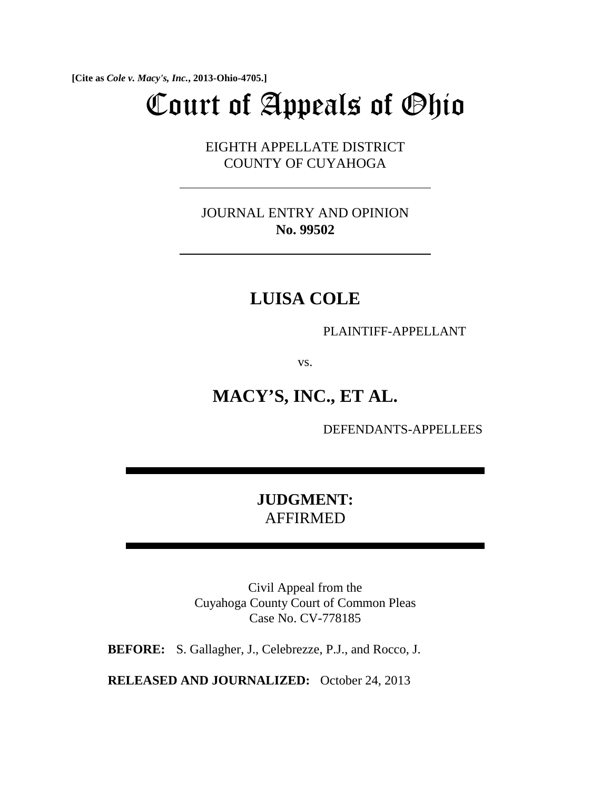**[Cite as** *Cole v. Macy's, Inc.***, 2013-Ohio-4705.]**

# Court of Appeals of Ohio

EIGHTH APPELLATE DISTRICT COUNTY OF CUYAHOGA

JOURNAL ENTRY AND OPINION **No. 99502**

## **LUISA COLE**

PLAINTIFF-APPELLANT

vs.

# **MACY'S, INC., ET AL.**

DEFENDANTS-APPELLEES

### **JUDGMENT:**  AFFIRMED

Civil Appeal from the Cuyahoga County Court of Common Pleas Case No. CV-778185

**BEFORE:** S. Gallagher, J., Celebrezze, P.J., and Rocco, J.

**RELEASED AND JOURNALIZED:** October 24, 2013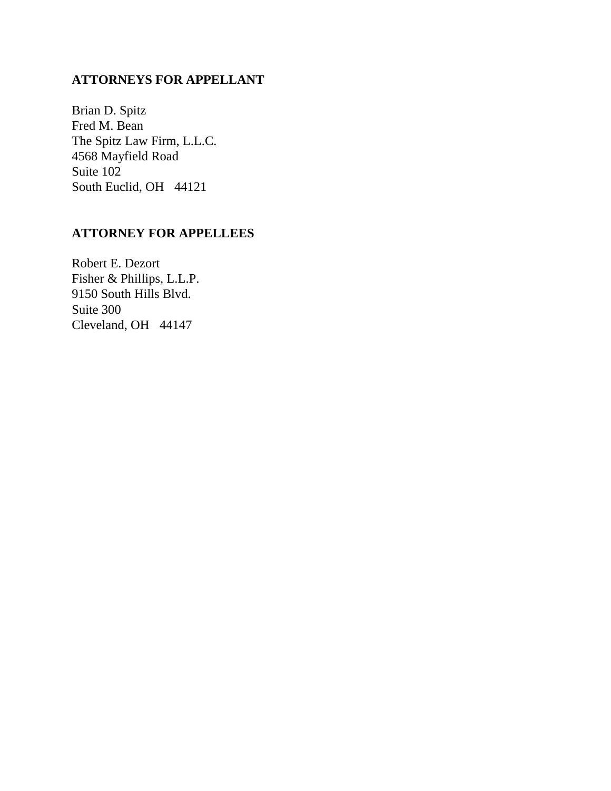#### **ATTORNEYS FOR APPELLANT**

Brian D. Spitz Fred M. Bean The Spitz Law Firm, L.L.C. 4568 Mayfield Road Suite 102 South Euclid, OH 44121

#### **ATTORNEY FOR APPELLEES**

Robert E. Dezort Fisher & Phillips, L.L.P. 9150 South Hills Blvd. Suite 300 Cleveland, OH 44147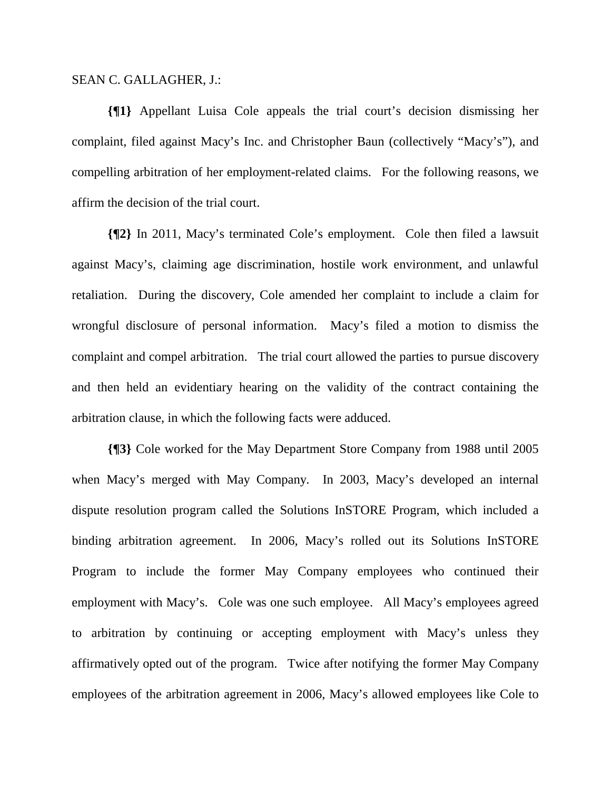#### SEAN C. GALLAGHER, J.:

**{¶1}** Appellant Luisa Cole appeals the trial court's decision dismissing her complaint, filed against Macy's Inc. and Christopher Baun (collectively "Macy's"), and compelling arbitration of her employment-related claims. For the following reasons, we affirm the decision of the trial court.

**{¶2}** In 2011, Macy's terminated Cole's employment. Cole then filed a lawsuit against Macy's, claiming age discrimination, hostile work environment, and unlawful retaliation. During the discovery, Cole amended her complaint to include a claim for wrongful disclosure of personal information. Macy's filed a motion to dismiss the complaint and compel arbitration. The trial court allowed the parties to pursue discovery and then held an evidentiary hearing on the validity of the contract containing the arbitration clause, in which the following facts were adduced.

**{¶3}** Cole worked for the May Department Store Company from 1988 until 2005 when Macy's merged with May Company. In 2003, Macy's developed an internal dispute resolution program called the Solutions InSTORE Program, which included a binding arbitration agreement. In 2006, Macy's rolled out its Solutions InSTORE Program to include the former May Company employees who continued their employment with Macy's. Cole was one such employee. All Macy's employees agreed to arbitration by continuing or accepting employment with Macy's unless they affirmatively opted out of the program. Twice after notifying the former May Company employees of the arbitration agreement in 2006, Macy's allowed employees like Cole to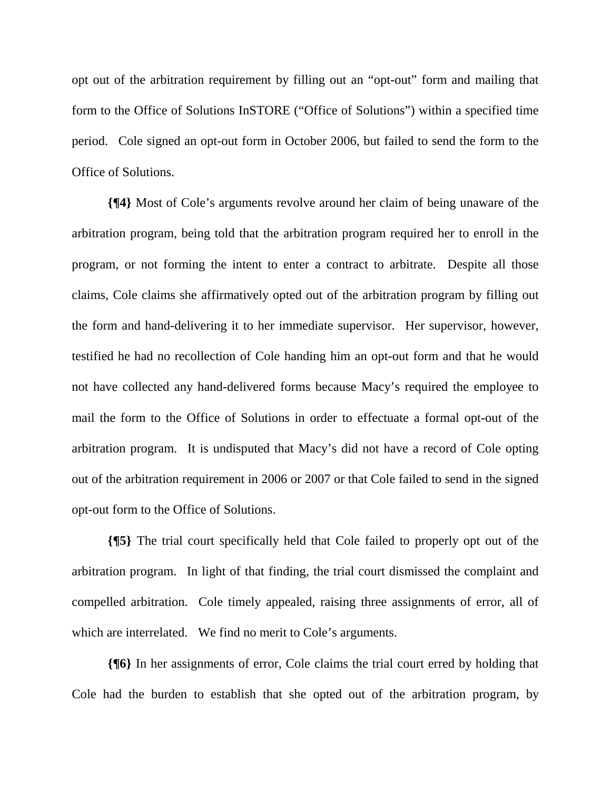opt out of the arbitration requirement by filling out an "opt-out" form and mailing that form to the Office of Solutions InSTORE ("Office of Solutions") within a specified time period. Cole signed an opt-out form in October 2006, but failed to send the form to the Office of Solutions.

**{¶4}** Most of Cole's arguments revolve around her claim of being unaware of the arbitration program, being told that the arbitration program required her to enroll in the program, or not forming the intent to enter a contract to arbitrate. Despite all those claims, Cole claims she affirmatively opted out of the arbitration program by filling out the form and hand-delivering it to her immediate supervisor. Her supervisor, however, testified he had no recollection of Cole handing him an opt-out form and that he would not have collected any hand-delivered forms because Macy's required the employee to mail the form to the Office of Solutions in order to effectuate a formal opt-out of the arbitration program. It is undisputed that Macy's did not have a record of Cole opting out of the arbitration requirement in 2006 or 2007 or that Cole failed to send in the signed opt-out form to the Office of Solutions.

**{¶5}** The trial court specifically held that Cole failed to properly opt out of the arbitration program. In light of that finding, the trial court dismissed the complaint and compelled arbitration. Cole timely appealed, raising three assignments of error, all of which are interrelated. We find no merit to Cole's arguments.

**{¶6}** In her assignments of error, Cole claims the trial court erred by holding that Cole had the burden to establish that she opted out of the arbitration program, by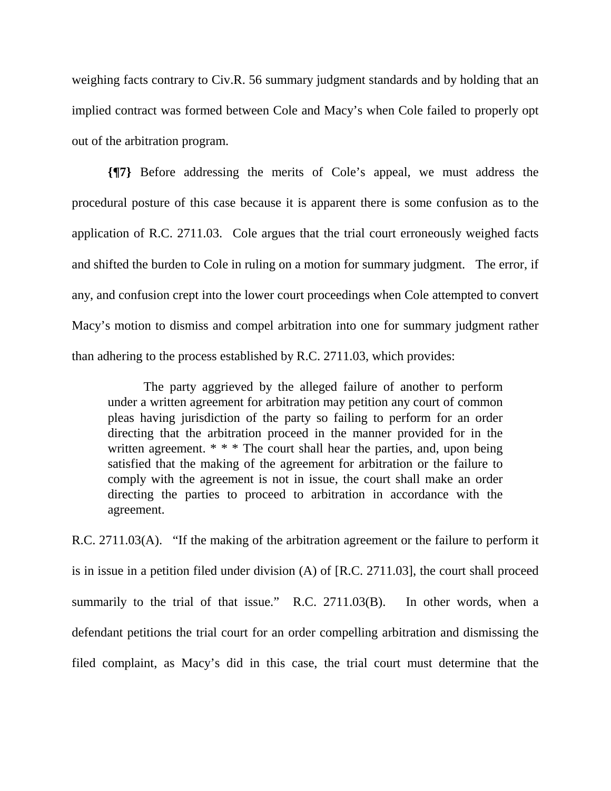weighing facts contrary to Civ.R. 56 summary judgment standards and by holding that an implied contract was formed between Cole and Macy's when Cole failed to properly opt out of the arbitration program.

**{¶7}** Before addressing the merits of Cole's appeal, we must address the procedural posture of this case because it is apparent there is some confusion as to the application of R.C. 2711.03. Cole argues that the trial court erroneously weighed facts and shifted the burden to Cole in ruling on a motion for summary judgment. The error, if any, and confusion crept into the lower court proceedings when Cole attempted to convert Macy's motion to dismiss and compel arbitration into one for summary judgment rather than adhering to the process established by R.C. 2711.03, which provides:

The party aggrieved by the alleged failure of another to perform under a written agreement for arbitration may petition any court of common pleas having jurisdiction of the party so failing to perform for an order directing that the arbitration proceed in the manner provided for in the written agreement. \* \* \* The court shall hear the parties, and, upon being satisfied that the making of the agreement for arbitration or the failure to comply with the agreement is not in issue, the court shall make an order directing the parties to proceed to arbitration in accordance with the agreement.

R.C. 2711.03(A). "If the making of the arbitration agreement or the failure to perform it is in issue in a petition filed under division (A) of [R.C. 2711.03], the court shall proceed summarily to the trial of that issue." R.C. 2711.03(B). In other words, when a defendant petitions the trial court for an order compelling arbitration and dismissing the filed complaint, as Macy's did in this case, the trial court must determine that the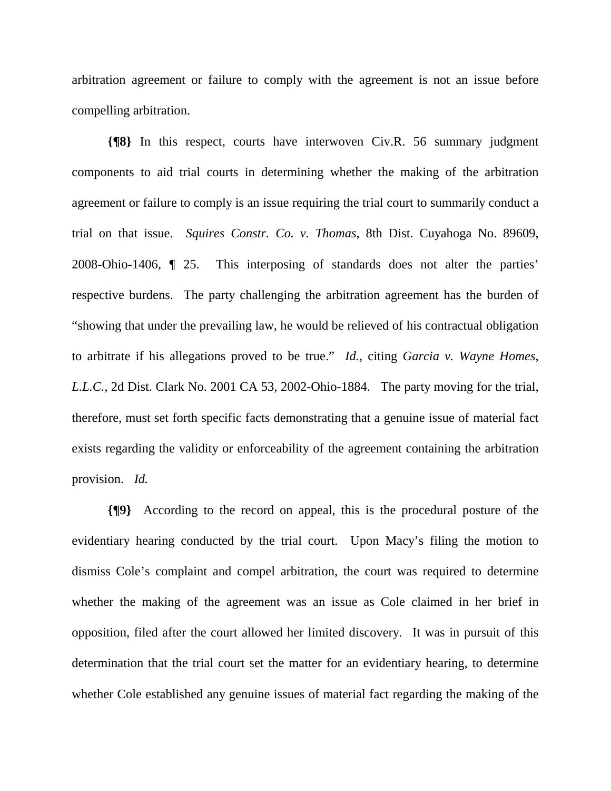arbitration agreement or failure to comply with the agreement is not an issue before compelling arbitration.

**{¶8}** In this respect, courts have interwoven Civ.R. 56 summary judgment components to aid trial courts in determining whether the making of the arbitration agreement or failure to comply is an issue requiring the trial court to summarily conduct a trial on that issue. *Squires Constr. Co. v. Thomas*, 8th Dist. Cuyahoga No. 89609, 2008-Ohio-1406, ¶ 25. This interposing of standards does not alter the parties' respective burdens. The party challenging the arbitration agreement has the burden of "showing that under the prevailing law, he would be relieved of his contractual obligation to arbitrate if his allegations proved to be true." *Id.*, citing *Garcia v. Wayne Homes, L.L.C.*, 2d Dist. Clark No. 2001 CA 53, 2002-Ohio-1884. The party moving for the trial, therefore, must set forth specific facts demonstrating that a genuine issue of material fact exists regarding the validity or enforceability of the agreement containing the arbitration provision. *Id.*

**{¶9}** According to the record on appeal, this is the procedural posture of the evidentiary hearing conducted by the trial court. Upon Macy's filing the motion to dismiss Cole's complaint and compel arbitration, the court was required to determine whether the making of the agreement was an issue as Cole claimed in her brief in opposition, filed after the court allowed her limited discovery. It was in pursuit of this determination that the trial court set the matter for an evidentiary hearing, to determine whether Cole established any genuine issues of material fact regarding the making of the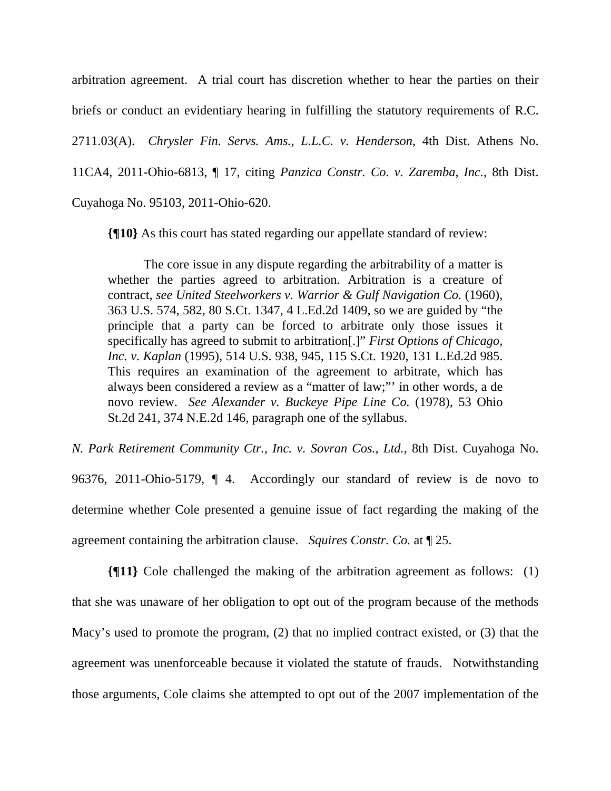arbitration agreement. A trial court has discretion whether to hear the parties on their briefs or conduct an evidentiary hearing in fulfilling the statutory requirements of R.C.

2711.03(A). *Chrysler Fin. Servs. Ams., L.L.C. v. Henderson*, 4th Dist. Athens No.

11CA4, 2011-Ohio-6813, ¶ 17, citing *Panzica Constr. Co. v. Zaremba, Inc.*, 8th Dist.

Cuyahoga No. 95103, 2011-Ohio-620.

**{¶10}** As this court has stated regarding our appellate standard of review:

The core issue in any dispute regarding the arbitrability of a matter is whether the parties agreed to arbitration. Arbitration is a creature of contract, see United Steelworkers v. Warrior & Gulf Navigation Co. (1960), 363 U.S. 574, 582, 80 S.Ct. 1347, 4 L.Ed.2d 1409, so we are guided by "the principle that a party can be forced to arbitrate only those issues it specifically has agreed to submit to arbitration[.]" *First Options of Chicago, Inc. v. Kaplan* (1995), 514 U.S. 938, 945, 115 S.Ct. 1920, 131 L.Ed.2d 985. This requires an examination of the agreement to arbitrate, which has always been considered a review as a "matter of law;"' in other words, a de novo review. *See Alexander v. Buckeye Pipe Line Co.* (1978), 53 Ohio St.2d 241, 374 N.E.2d 146, paragraph one of the syllabus.

*N. Park Retirement Community Ctr., Inc. v. Sovran Cos., Ltd.*, 8th Dist. Cuyahoga No. 96376, 2011-Ohio-5179, ¶ 4. Accordingly our standard of review is de novo to determine whether Cole presented a genuine issue of fact regarding the making of the agreement containing the arbitration clause. *Squires Constr. Co.* at ¶ 25.

**{¶11}** Cole challenged the making of the arbitration agreement as follows: (1) that she was unaware of her obligation to opt out of the program because of the methods Macy's used to promote the program, (2) that no implied contract existed, or (3) that the agreement was unenforceable because it violated the statute of frauds. Notwithstanding those arguments, Cole claims she attempted to opt out of the 2007 implementation of the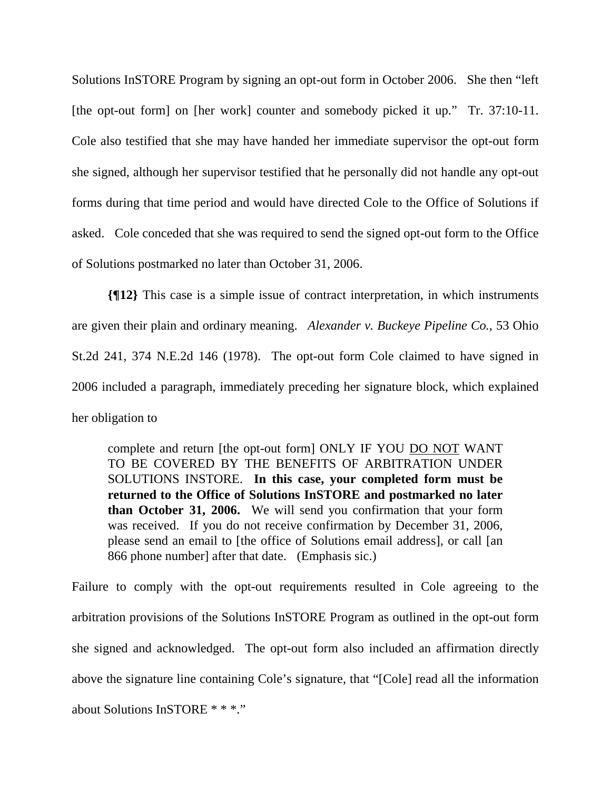Solutions InSTORE Program by signing an opt-out form in October 2006. She then "left [the opt-out form] on [her work] counter and somebody picked it up." Tr. 37:10-11. Cole also testified that she may have handed her immediate supervisor the opt-out form she signed, although her supervisor testified that he personally did not handle any opt-out forms during that time period and would have directed Cole to the Office of Solutions if asked. Cole conceded that she was required to send the signed opt-out form to the Office of Solutions postmarked no later than October 31, 2006.

**{¶12}** This case is a simple issue of contract interpretation, in which instruments are given their plain and ordinary meaning. *Alexander v. Buckeye Pipeline Co.*, 53 Ohio St.2d 241, 374 N.E.2d 146 (1978). The opt-out form Cole claimed to have signed in 2006 included a paragraph, immediately preceding her signature block, which explained her obligation to

complete and return [the opt-out form] ONLY IF YOU DO NOT WANT TO BE COVERED BY THE BENEFITS OF ARBITRATION UNDER SOLUTIONS INSTORE. **In this case, your completed form must be returned to the Office of Solutions InSTORE and postmarked no later than October 31, 2006.** We will send you confirmation that your form was received. If you do not receive confirmation by December 31, 2006, please send an email to [the office of Solutions email address], or call [an 866 phone number] after that date. (Emphasis sic.)

Failure to comply with the opt-out requirements resulted in Cole agreeing to the arbitration provisions of the Solutions InSTORE Program as outlined in the opt-out form she signed and acknowledged. The opt-out form also included an affirmation directly above the signature line containing Cole's signature, that "[Cole] read all the information about Solutions InSTORE \* \* \*."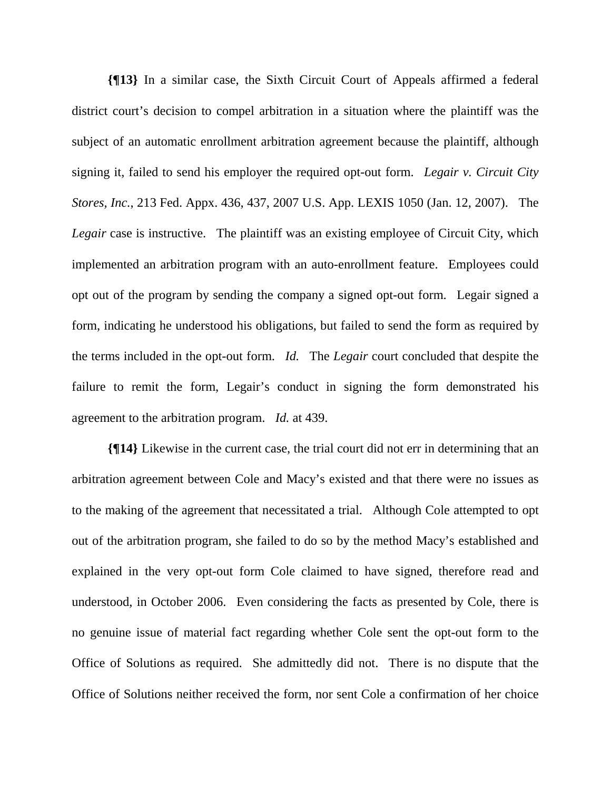**{¶13}** In a similar case, the Sixth Circuit Court of Appeals affirmed a federal district court's decision to compel arbitration in a situation where the plaintiff was the subject of an automatic enrollment arbitration agreement because the plaintiff, although signing it, failed to send his employer the required opt-out form. *Legair v. Circuit City Stores, Inc.*, 213 Fed. Appx. 436, 437, 2007 U.S. App. LEXIS 1050 (Jan. 12, 2007). The *Legair* case is instructive. The plaintiff was an existing employee of Circuit City, which implemented an arbitration program with an auto-enrollment feature. Employees could opt out of the program by sending the company a signed opt-out form. Legair signed a form, indicating he understood his obligations, but failed to send the form as required by the terms included in the opt-out form. *Id.* The *Legair* court concluded that despite the failure to remit the form, Legair's conduct in signing the form demonstrated his agreement to the arbitration program. *Id.* at 439.

**{¶14}** Likewise in the current case, the trial court did not err in determining that an arbitration agreement between Cole and Macy's existed and that there were no issues as to the making of the agreement that necessitated a trial. Although Cole attempted to opt out of the arbitration program, she failed to do so by the method Macy's established and explained in the very opt-out form Cole claimed to have signed, therefore read and understood, in October 2006. Even considering the facts as presented by Cole, there is no genuine issue of material fact regarding whether Cole sent the opt-out form to the Office of Solutions as required. She admittedly did not. There is no dispute that the Office of Solutions neither received the form, nor sent Cole a confirmation of her choice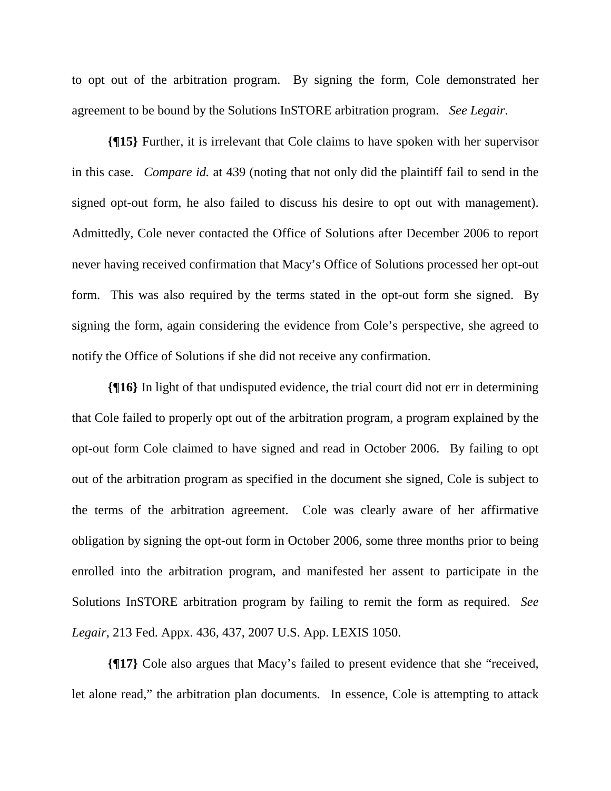to opt out of the arbitration program. By signing the form, Cole demonstrated her agreement to be bound by the Solutions InSTORE arbitration program. *See Legair*.

**{¶15}** Further, it is irrelevant that Cole claims to have spoken with her supervisor in this case. *Compare id.* at 439 (noting that not only did the plaintiff fail to send in the signed opt-out form, he also failed to discuss his desire to opt out with management). Admittedly, Cole never contacted the Office of Solutions after December 2006 to report never having received confirmation that Macy's Office of Solutions processed her opt-out form. This was also required by the terms stated in the opt-out form she signed. By signing the form, again considering the evidence from Cole's perspective, she agreed to notify the Office of Solutions if she did not receive any confirmation.

**{¶16}** In light of that undisputed evidence, the trial court did not err in determining that Cole failed to properly opt out of the arbitration program, a program explained by the opt-out form Cole claimed to have signed and read in October 2006. By failing to opt out of the arbitration program as specified in the document she signed, Cole is subject to the terms of the arbitration agreement. Cole was clearly aware of her affirmative obligation by signing the opt-out form in October 2006, some three months prior to being enrolled into the arbitration program, and manifested her assent to participate in the Solutions InSTORE arbitration program by failing to remit the form as required. *See Legair*, 213 Fed. Appx. 436, 437, 2007 U.S. App. LEXIS 1050.

**{¶17}** Cole also argues that Macy's failed to present evidence that she "received, let alone read," the arbitration plan documents. In essence, Cole is attempting to attack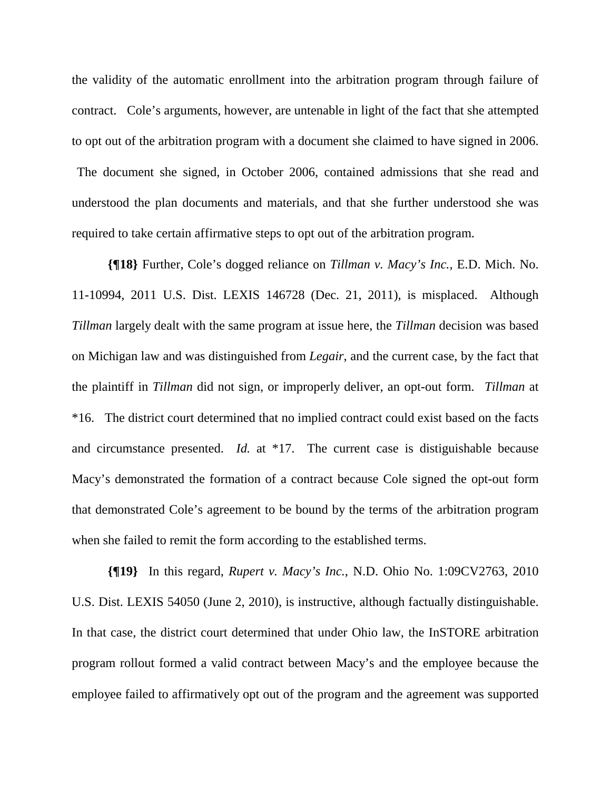the validity of the automatic enrollment into the arbitration program through failure of contract. Cole's arguments, however, are untenable in light of the fact that she attempted to opt out of the arbitration program with a document she claimed to have signed in 2006.

 The document she signed, in October 2006, contained admissions that she read and understood the plan documents and materials, and that she further understood she was required to take certain affirmative steps to opt out of the arbitration program.

**{¶18}** Further, Cole's dogged reliance on *Tillman v. Macy's Inc.,* E.D. Mich. No. 11-10994, 2011 U.S. Dist. LEXIS 146728 (Dec. 21, 2011), is misplaced. Although *Tillman* largely dealt with the same program at issue here, the *Tillman* decision was based on Michigan law and was distinguished from *Legair*, and the current case, by the fact that the plaintiff in *Tillman* did not sign, or improperly deliver, an opt-out form. *Tillman* at \*16. The district court determined that no implied contract could exist based on the facts and circumstance presented. *Id.* at \*17. The current case is distiguishable because Macy's demonstrated the formation of a contract because Cole signed the opt-out form that demonstrated Cole's agreement to be bound by the terms of the arbitration program when she failed to remit the form according to the established terms.

**{¶19}** In this regard, *Rupert v. Macy's Inc.*, N.D. Ohio No. 1:09CV2763, 2010 U.S. Dist. LEXIS 54050 (June 2, 2010), is instructive, although factually distinguishable. In that case, the district court determined that under Ohio law, the InSTORE arbitration program rollout formed a valid contract between Macy's and the employee because the employee failed to affirmatively opt out of the program and the agreement was supported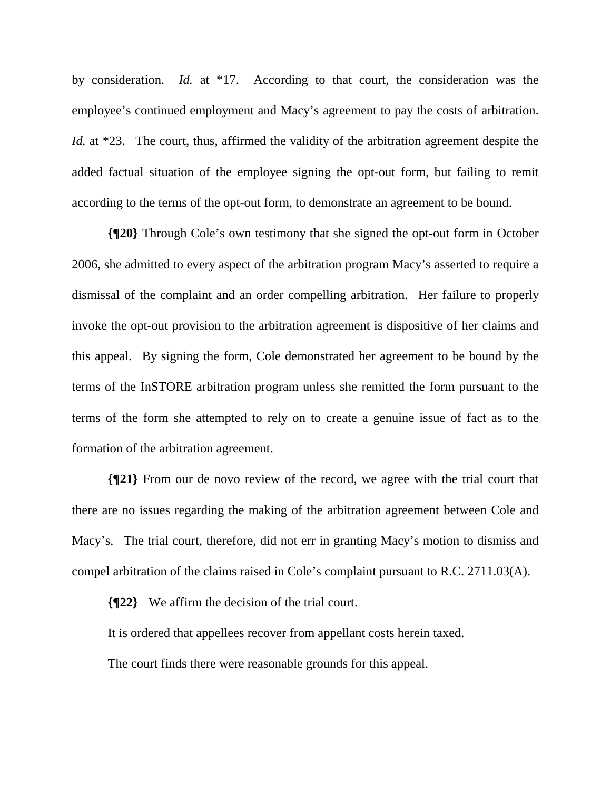by consideration. *Id.* at \*17. According to that court, the consideration was the employee's continued employment and Macy's agreement to pay the costs of arbitration. *Id.* at \*23. The court, thus, affirmed the validity of the arbitration agreement despite the added factual situation of the employee signing the opt-out form, but failing to remit according to the terms of the opt-out form, to demonstrate an agreement to be bound.

**{¶20}** Through Cole's own testimony that she signed the opt-out form in October 2006, she admitted to every aspect of the arbitration program Macy's asserted to require a dismissal of the complaint and an order compelling arbitration. Her failure to properly invoke the opt-out provision to the arbitration agreement is dispositive of her claims and this appeal. By signing the form, Cole demonstrated her agreement to be bound by the terms of the InSTORE arbitration program unless she remitted the form pursuant to the terms of the form she attempted to rely on to create a genuine issue of fact as to the formation of the arbitration agreement.

**{¶21}** From our de novo review of the record, we agree with the trial court that there are no issues regarding the making of the arbitration agreement between Cole and Macy's. The trial court, therefore, did not err in granting Macy's motion to dismiss and compel arbitration of the claims raised in Cole's complaint pursuant to R.C. 2711.03(A).

**{¶22}** We affirm the decision of the trial court.

It is ordered that appellees recover from appellant costs herein taxed.

The court finds there were reasonable grounds for this appeal.